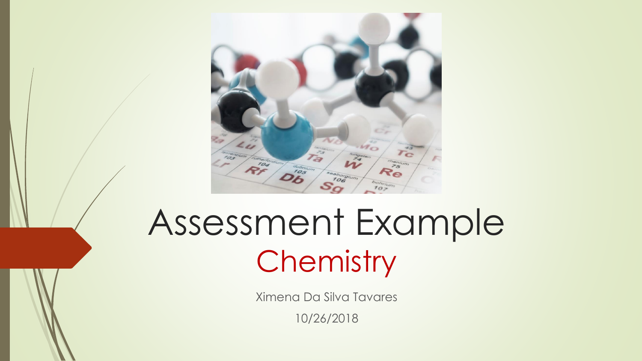

# Assessment Example **Chemistry**

Ximena Da Silva Tavares

10/26/2018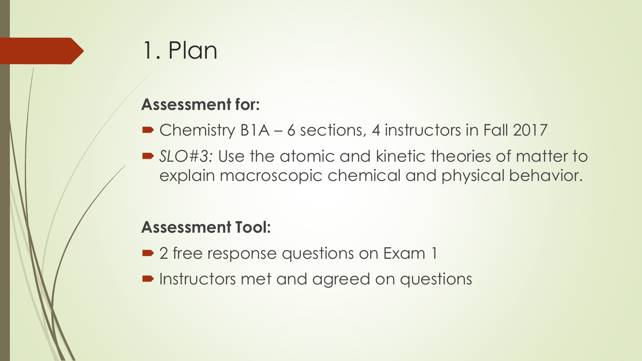# 1. Plan

#### **Assessment for:**

- Chemistry B1A 6 sections, 4 instructors in Fall 2017
- *SLO#3:* Use the atomic and kinetic theories of matter to explain macroscopic chemical and physical behavior.

#### **Assessment Tool:**

- 2 free response questions on Exam 1
- **Instructors met and agreed on questions**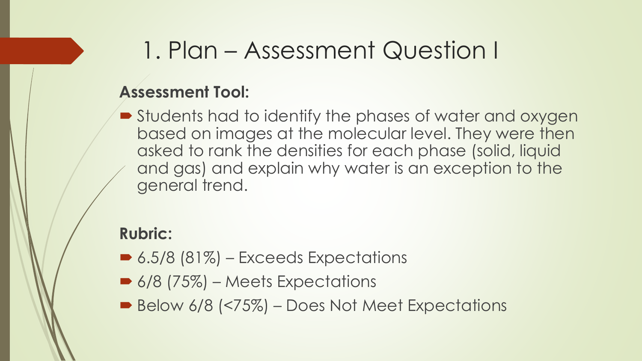### 1. Plan – Assessment Question I

### **Assessment Tool:**

■ Students had to identify the phases of water and oxygen based on images at the molecular level. They were then asked to rank the densities for each phase (solid, liquid and gas) and explain why water is an exception to the general trend.

#### **Rubric:**

- $\triangleright$  6.5/8 (81%) Exceeds Expectations
- 6/8 (75%) Meets Expectations
- Below 6/8 (<75%) Does Not Meet Expectations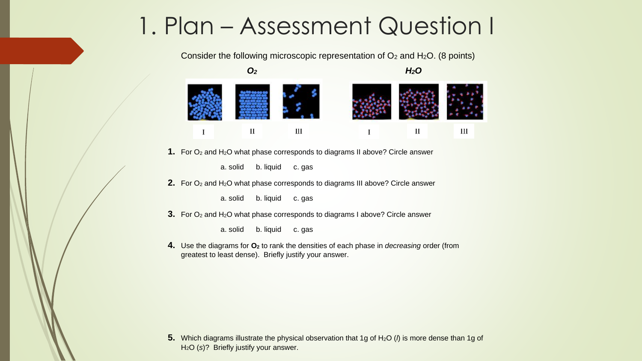### 1. Plan – Assessment Question I

Consider the following microscopic representation of  $O_2$  and  $H_2O$ . (8 points)



**1.** For O<sub>2</sub> and H<sub>2</sub>O what phase corresponds to diagrams II above? Circle answer

a. solid b. liquid c. gas

**2.** For O<sub>2</sub> and H<sub>2</sub>O what phase corresponds to diagrams III above? Circle answer

a. solid b. liquid c. gas

**3.** For O<sub>2</sub> and H<sub>2</sub>O what phase corresponds to diagrams I above? Circle answer

a. solid b. liquid c. gas

**4.** Use the diagrams for **O<sup>2</sup>** to rank the densities of each phase in *decreasing* order (from greatest to least dense). Briefly justify your answer.

**5.** Which diagrams illustrate the physical observation that 1g of H<sub>2</sub>O (*l*) is more dense than 1g of H2O (*s*)? Briefly justify your answer.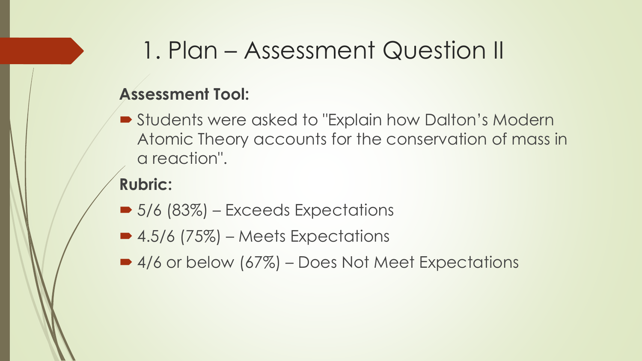### 1. Plan – Assessment Question II

#### **Assessment Tool:**

 Students were asked to "Explain how Dalton's Modern Atomic Theory accounts for the conservation of mass in a reaction".

### **Rubric:**

- 5/6 (83%) Exceeds Expectations
- $\bullet$  4.5/6 (75%) Meets Expectations
- 4/6 or below (67%) Does Not Meet Expectations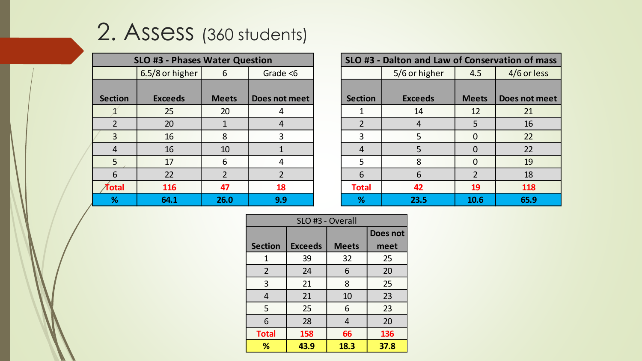## 2. Assess (360 students)

| <b>SLO #3 - Phases Water Question</b> |                 |                |                |  |  |  |
|---------------------------------------|-----------------|----------------|----------------|--|--|--|
|                                       | 6.5/8 or higher | 6              | Grade $<$ 6    |  |  |  |
|                                       |                 |                |                |  |  |  |
| <b>Section</b>                        | <b>Exceeds</b>  | <b>Meets</b>   | Does not meet  |  |  |  |
|                                       | 25              | 20             | 4              |  |  |  |
| $\overline{2}$                        | 20              | $\mathbf{1}$   | 4              |  |  |  |
| 3                                     | 16              | 8              | 3              |  |  |  |
| 4                                     | 16              | 10             | 1              |  |  |  |
| 5                                     | 17              | 6              | 4              |  |  |  |
| 6                                     | 22              | $\overline{2}$ | $\overline{2}$ |  |  |  |
| Total                                 | 116             | 47             | 18             |  |  |  |
| %                                     | 64.1            | 26.0           | 9.9            |  |  |  |

| SLO #3 - Dalton and Law of Conservation of mass |                |                |               |  |  |  |
|-------------------------------------------------|----------------|----------------|---------------|--|--|--|
|                                                 | 5/6 or higher  | 4.5            | 4/6 or less   |  |  |  |
|                                                 |                |                |               |  |  |  |
| <b>Section</b>                                  | <b>Exceeds</b> | <b>Meets</b>   | Does not meet |  |  |  |
| 1                                               | 14             | 12             | 21            |  |  |  |
| $\overline{2}$                                  | 4              | 5              | 16            |  |  |  |
| 3                                               | 5              | 0              | 22            |  |  |  |
| 4                                               | 5              | 0              | 22            |  |  |  |
| 5                                               | 8              | O              | 19            |  |  |  |
| 6                                               | 6              | $\overline{2}$ | 18            |  |  |  |
| <b>Total</b>                                    | 42             | 19             | 118           |  |  |  |
| %                                               | 23.5           | 10.6           | 65.9          |  |  |  |

| SLO #3 - Overall |                |              |          |  |  |
|------------------|----------------|--------------|----------|--|--|
|                  |                |              | Does not |  |  |
| <b>Section</b>   | <b>Exceeds</b> | <b>Meets</b> | meet     |  |  |
| 1                | 39             | 32           | 25       |  |  |
| $\overline{2}$   | 24             | 6            | 20       |  |  |
| 3                | 21             | 8            | 25       |  |  |
| $\overline{4}$   | 21             | 10           | 23       |  |  |
| 5                | 25             | 6            | 23       |  |  |
| 6                | 28             | 4            | 20       |  |  |
| <b>Total</b>     | 158            | 66           | 136      |  |  |
| %                | 43.9           | 18.3         | 37.8     |  |  |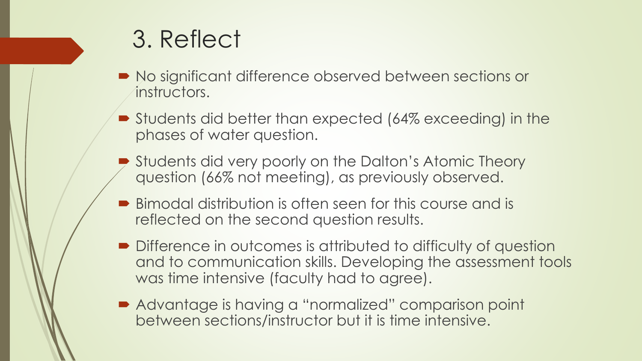### 3. Reflect

- $\blacksquare$  No significant difference observed between sections or instructors.
- Students did better than expected (64% exceeding) in the phases of water question.
- Students did very poorly on the Dalton's Atomic Theory question (66% not meeting), as previously observed.
- Bimodal distribution is often seen for this course and is reflected on the second question results.
- Difference in outcomes is attributed to difficulty of question and to communication skills. Developing the assessment tools was time intensive (faculty had to agree).
- Advantage is having a "normalized" comparison point between sections/instructor but it is time intensive.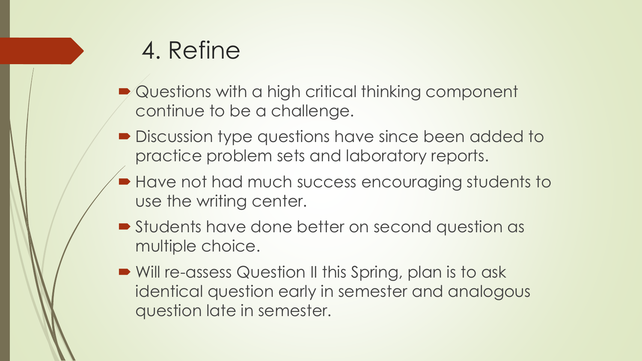# 4. Refine

- **Questions with a high critical thinking component** continue to be a challenge.
- **Discussion type questions have since been added to** practice problem sets and laboratory reports.
- Have not had much success encouraging students to use the writing center.
- **Students have done better on second question as** multiple choice.
- Will re-assess Question II this Spring, plan is to ask identical question early in semester and analogous question late in semester.